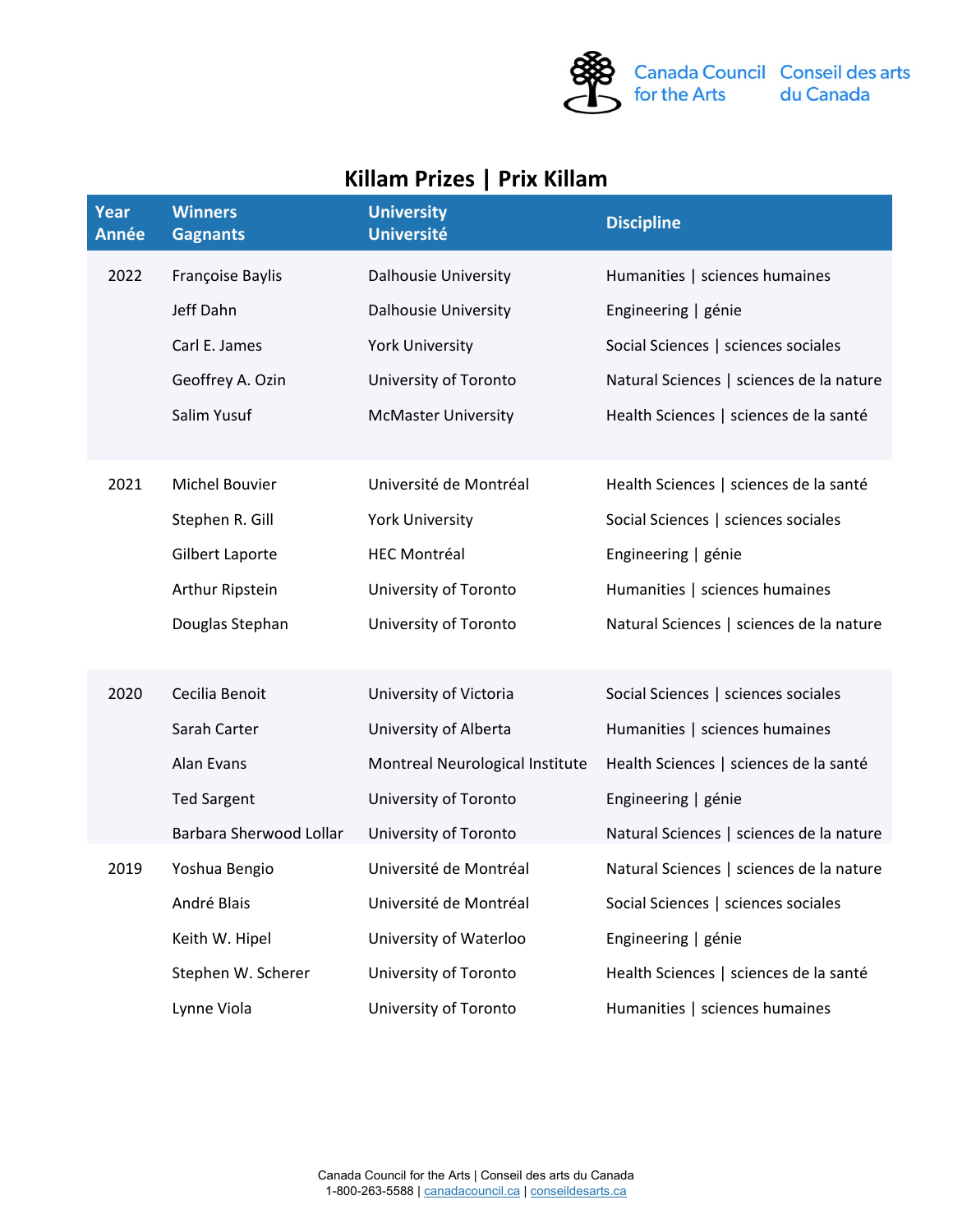

## **Killam Prizes | Prix Killam**

| Year<br><b>Année</b> | <b>Winners</b><br><b>Gagnants</b> | <b>University</b><br><b>Université</b> | <b>Discipline</b>                        |
|----------------------|-----------------------------------|----------------------------------------|------------------------------------------|
| 2022                 | Françoise Baylis                  | <b>Dalhousie University</b>            | Humanities   sciences humaines           |
|                      | Jeff Dahn                         | <b>Dalhousie University</b>            | Engineering   génie                      |
|                      | Carl E. James                     | <b>York University</b>                 | Social Sciences   sciences sociales      |
|                      | Geoffrey A. Ozin                  | University of Toronto                  | Natural Sciences   sciences de la nature |
|                      | Salim Yusuf                       | <b>McMaster University</b>             | Health Sciences   sciences de la santé   |
| 2021                 | <b>Michel Bouvier</b>             | Université de Montréal                 | Health Sciences   sciences de la santé   |
|                      | Stephen R. Gill                   | <b>York University</b>                 | Social Sciences   sciences sociales      |
|                      | Gilbert Laporte                   | <b>HEC Montréal</b>                    | Engineering   génie                      |
|                      | Arthur Ripstein                   | University of Toronto                  | Humanities   sciences humaines           |
|                      | Douglas Stephan                   | University of Toronto                  | Natural Sciences   sciences de la nature |
| 2020                 | Cecilia Benoit                    | University of Victoria                 | Social Sciences   sciences sociales      |
|                      | Sarah Carter                      | University of Alberta                  | Humanities   sciences humaines           |
|                      | Alan Evans                        | Montreal Neurological Institute        | Health Sciences   sciences de la santé   |
|                      | <b>Ted Sargent</b>                | University of Toronto                  | Engineering   génie                      |
|                      | Barbara Sherwood Lollar           | University of Toronto                  | Natural Sciences   sciences de la nature |
| 2019                 | Yoshua Bengio                     | Université de Montréal                 | Natural Sciences   sciences de la nature |
|                      | André Blais                       | Université de Montréal                 | Social Sciences   sciences sociales      |
|                      | Keith W. Hipel                    | University of Waterloo                 | Engineering   génie                      |
|                      | Stephen W. Scherer                | University of Toronto                  | Health Sciences   sciences de la santé   |
|                      | Lynne Viola                       | University of Toronto                  | Humanities   sciences humaines           |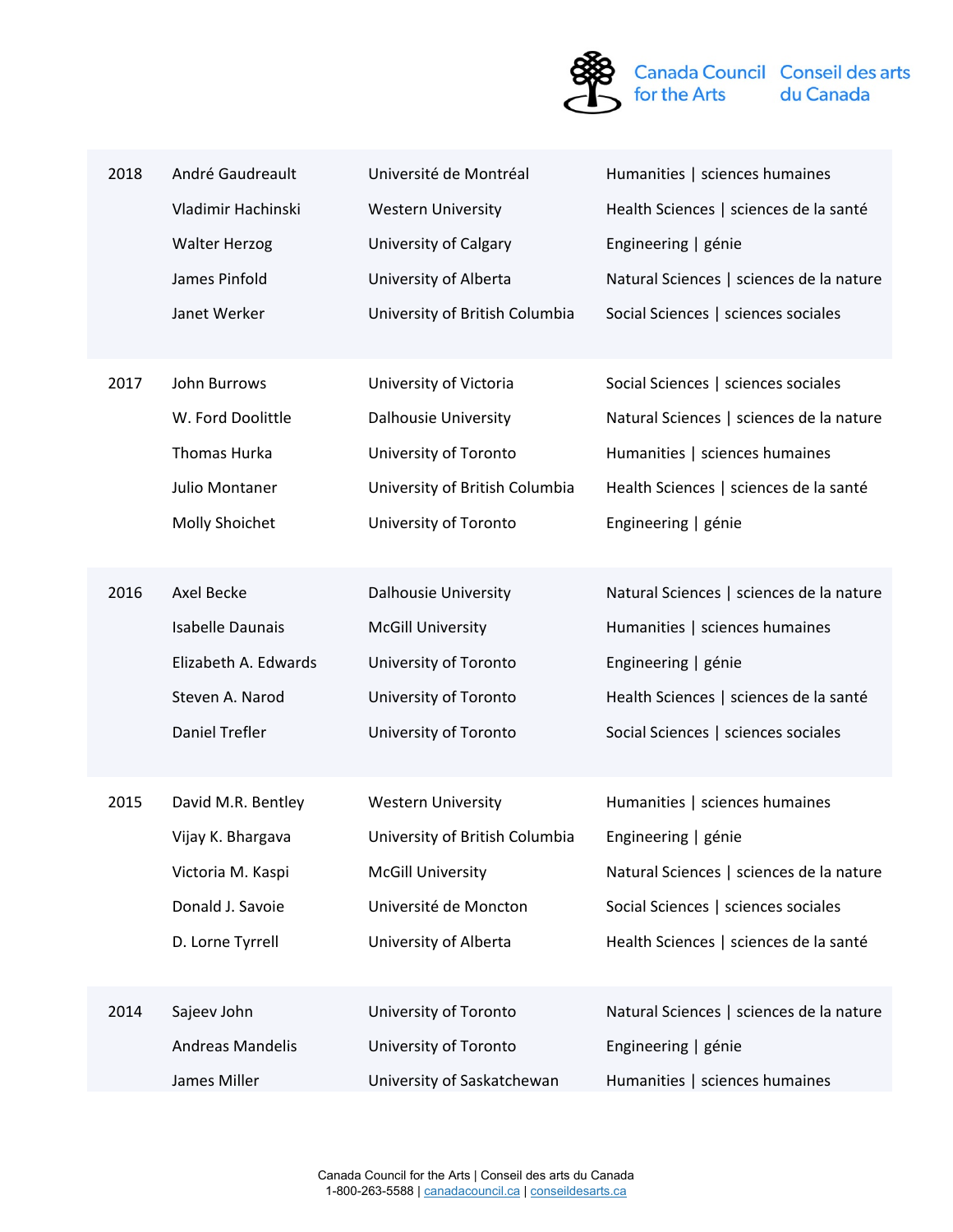

| 2018 | André Gaudreault        | Université de Montréal         | Humanities   sciences humaines           |
|------|-------------------------|--------------------------------|------------------------------------------|
|      | Vladimir Hachinski      | <b>Western University</b>      | Health Sciences   sciences de la santé   |
|      | <b>Walter Herzog</b>    | University of Calgary          | Engineering   génie                      |
|      | James Pinfold           | University of Alberta          | Natural Sciences   sciences de la nature |
|      | Janet Werker            | University of British Columbia | Social Sciences   sciences sociales      |
|      |                         |                                |                                          |
| 2017 | John Burrows            | University of Victoria         | Social Sciences   sciences sociales      |
|      | W. Ford Doolittle       | Dalhousie University           | Natural Sciences   sciences de la nature |
|      | Thomas Hurka            | University of Toronto          | Humanities   sciences humaines           |
|      | <b>Julio Montaner</b>   | University of British Columbia | Health Sciences   sciences de la santé   |
|      | Molly Shoichet          | University of Toronto          | Engineering   génie                      |
|      |                         |                                |                                          |
| 2016 | Axel Becke              | <b>Dalhousie University</b>    | Natural Sciences   sciences de la nature |
|      | <b>Isabelle Daunais</b> | <b>McGill University</b>       | Humanities   sciences humaines           |
|      | Elizabeth A. Edwards    | University of Toronto          | Engineering   génie                      |
|      | Steven A. Narod         | University of Toronto          | Health Sciences   sciences de la santé   |
|      | <b>Daniel Trefler</b>   | University of Toronto          | Social Sciences   sciences sociales      |
|      |                         |                                |                                          |
| 2015 | David M.R. Bentley      | <b>Western University</b>      | Humanities   sciences humaines           |
|      | Vijay K. Bhargava       | University of British Columbia | Engineering   génie                      |
|      | Victoria M. Kaspi       | <b>McGill University</b>       | Natural Sciences   sciences de la nature |
|      | Donald J. Savoie        | Université de Moncton          | Social Sciences   sciences sociales      |
|      | D. Lorne Tyrrell        | University of Alberta          | Health Sciences   sciences de la santé   |
|      |                         |                                |                                          |
| 2014 | Sajeev John             | University of Toronto          | Natural Sciences   sciences de la nature |
|      | <b>Andreas Mandelis</b> | University of Toronto          | Engineering   génie                      |
|      | James Miller            | University of Saskatchewan     | Humanities   sciences humaines           |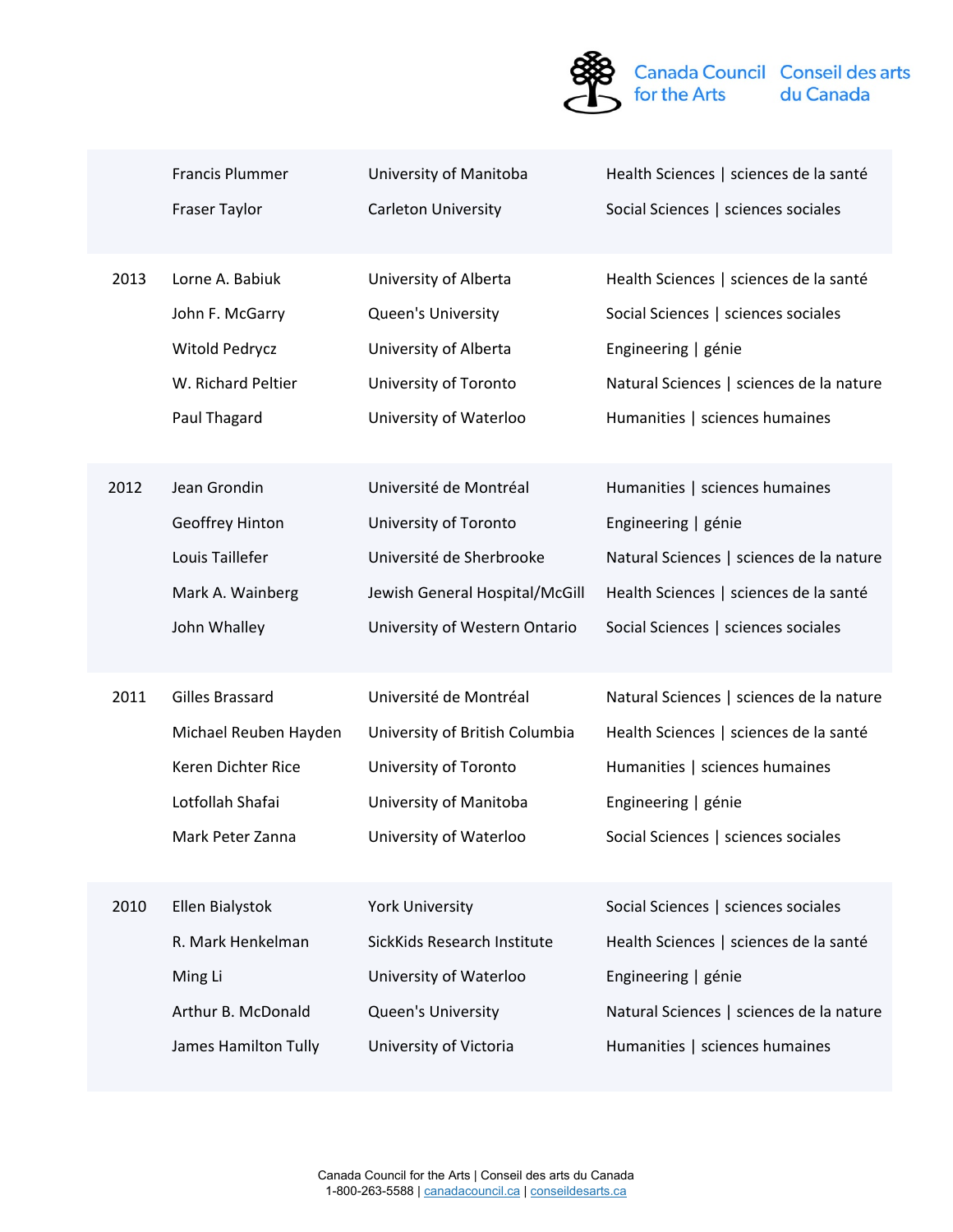

|      | <b>Francis Plummer</b> | University of Manitoba         | Health Sciences   sciences de la santé   |
|------|------------------------|--------------------------------|------------------------------------------|
|      | Fraser Taylor          | Carleton University            | Social Sciences   sciences sociales      |
| 2013 | Lorne A. Babiuk        | University of Alberta          | Health Sciences   sciences de la santé   |
|      | John F. McGarry        | Queen's University             | Social Sciences   sciences sociales      |
|      | Witold Pedrycz         | University of Alberta          | Engineering   génie                      |
|      | W. Richard Peltier     | University of Toronto          | Natural Sciences   sciences de la nature |
|      | Paul Thagard           | University of Waterloo         | Humanities   sciences humaines           |
| 2012 | Jean Grondin           | Université de Montréal         | Humanities   sciences humaines           |
|      | Geoffrey Hinton        | University of Toronto          | Engineering   génie                      |
|      | Louis Taillefer        | Université de Sherbrooke       | Natural Sciences   sciences de la nature |
|      | Mark A. Wainberg       | Jewish General Hospital/McGill | Health Sciences   sciences de la santé   |
|      | John Whalley           | University of Western Ontario  | Social Sciences   sciences sociales      |
| 2011 | <b>Gilles Brassard</b> | Université de Montréal         | Natural Sciences   sciences de la nature |
|      | Michael Reuben Hayden  | University of British Columbia | Health Sciences   sciences de la santé   |
|      | Keren Dichter Rice     | University of Toronto          | Humanities   sciences humaines           |
|      | Lotfollah Shafai       | University of Manitoba         | Engineering   génie                      |
|      | Mark Peter Zanna       | University of Waterloo         | Social Sciences   sciences sociales      |
| 2010 | Ellen Bialystok        | <b>York University</b>         | Social Sciences   sciences sociales      |
|      | R. Mark Henkelman      | SickKids Research Institute    | Health Sciences   sciences de la santé   |
|      | Ming Li                | University of Waterloo         | Engineering   génie                      |
|      | Arthur B. McDonald     | Queen's University             | Natural Sciences   sciences de la nature |
|      | James Hamilton Tully   | University of Victoria         | Humanities   sciences humaines           |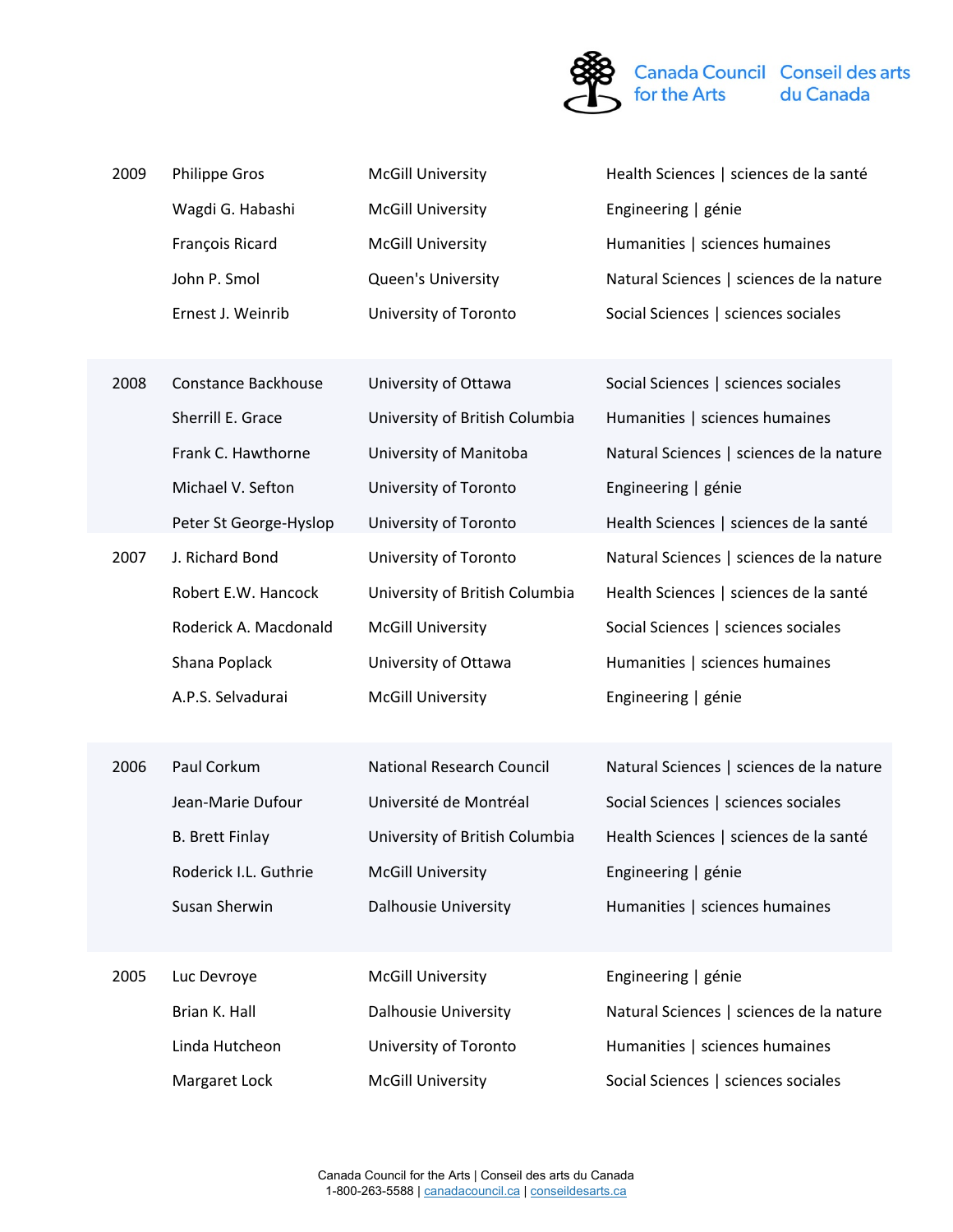

| 2009 | <b>Philippe Gros</b>   | <b>McGill University</b>       | Health Sciences   sciences de la santé   |
|------|------------------------|--------------------------------|------------------------------------------|
|      | Wagdi G. Habashi       | <b>McGill University</b>       | Engineering   génie                      |
|      | François Ricard        | <b>McGill University</b>       | Humanities   sciences humaines           |
|      | John P. Smol           | Queen's University             | Natural Sciences   sciences de la nature |
|      | Ernest J. Weinrib      | University of Toronto          | Social Sciences   sciences sociales      |
|      |                        |                                |                                          |
| 2008 | Constance Backhouse    | University of Ottawa           | Social Sciences   sciences sociales      |
|      | Sherrill E. Grace      | University of British Columbia | Humanities   sciences humaines           |
|      | Frank C. Hawthorne     | University of Manitoba         | Natural Sciences   sciences de la nature |
|      | Michael V. Sefton      | University of Toronto          | Engineering   génie                      |
|      | Peter St George-Hyslop | University of Toronto          | Health Sciences   sciences de la santé   |
| 2007 | J. Richard Bond        | University of Toronto          | Natural Sciences   sciences de la nature |
|      | Robert E.W. Hancock    | University of British Columbia | Health Sciences   sciences de la santé   |
|      | Roderick A. Macdonald  | <b>McGill University</b>       | Social Sciences   sciences sociales      |
|      | Shana Poplack          | University of Ottawa           | Humanities   sciences humaines           |
|      | A.P.S. Selvadurai      | <b>McGill University</b>       | Engineering   génie                      |
|      |                        |                                |                                          |
| 2006 | Paul Corkum            | National Research Council      | Natural Sciences   sciences de la nature |
|      | Jean-Marie Dufour      | Université de Montréal         | Social Sciences   sciences sociales      |
|      | <b>B. Brett Finlay</b> | University of British Columbia | Health Sciences   sciences de la santé   |
|      | Roderick I.L. Guthrie  | <b>McGill University</b>       | Engineering   génie                      |
|      | Susan Sherwin          | <b>Dalhousie University</b>    | Humanities   sciences humaines           |
|      |                        |                                |                                          |
| 2005 | Luc Devroye            | <b>McGill University</b>       | Engineering   génie                      |
|      | Brian K. Hall          | <b>Dalhousie University</b>    | Natural Sciences   sciences de la nature |
|      | Linda Hutcheon         | University of Toronto          | Humanities   sciences humaines           |
|      | Margaret Lock          | <b>McGill University</b>       | Social Sciences   sciences sociales      |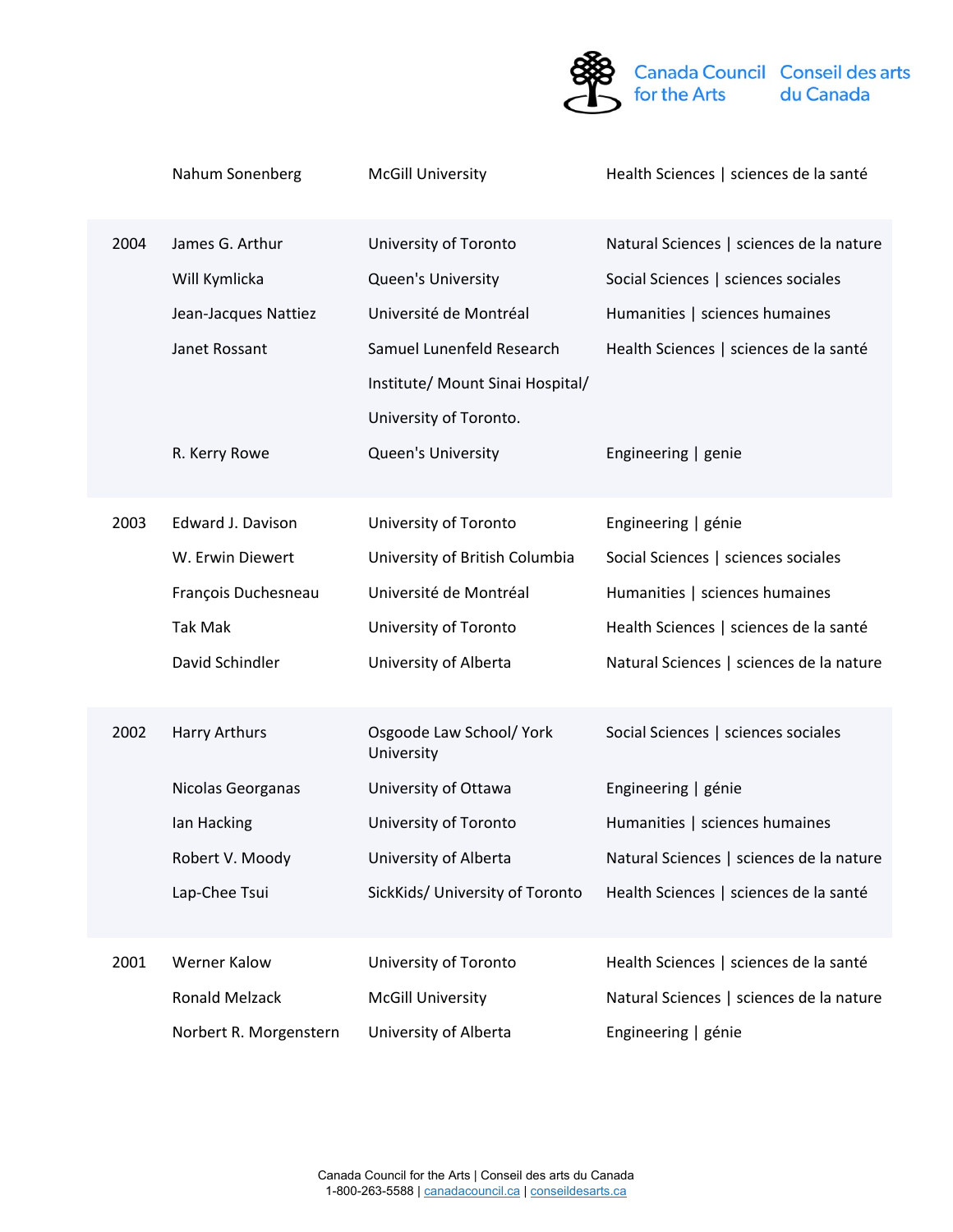

| 2004 | James G. Arthur<br>Will Kymlicka<br>Jean-Jacques Nattiez<br>Janet Rossant<br>R. Kerry Rowe        | University of Toronto<br>Queen's University<br>Université de Montréal<br>Samuel Lunenfeld Research<br>Institute/ Mount Sinai Hospital/<br>University of Toronto.<br>Queen's University | Natural Sciences   sciences de la nature<br>Social Sciences   sciences sociales<br>Humanities   sciences humaines<br>Health Sciences   sciences de la santé<br>Engineering   genie                                 |
|------|---------------------------------------------------------------------------------------------------|----------------------------------------------------------------------------------------------------------------------------------------------------------------------------------------|--------------------------------------------------------------------------------------------------------------------------------------------------------------------------------------------------------------------|
| 2003 | Edward J. Davison<br>W. Erwin Diewert<br>François Duchesneau<br><b>Tak Mak</b><br>David Schindler | University of Toronto<br>University of British Columbia<br>Université de Montréal<br>University of Toronto<br>University of Alberta                                                    | Engineering   génie<br>Social Sciences   sciences sociales<br>Humanities   sciences humaines<br>Health Sciences   sciences de la santé<br>Natural Sciences   sciences de la nature                                 |
| 2002 | <b>Harry Arthurs</b><br>Nicolas Georganas<br>Ian Hacking<br>Robert V. Moody<br>Lap-Chee Tsui      | Osgoode Law School/ York<br>University<br>University of Ottawa<br>University of Toronto<br>University of Alberta                                                                       | Social Sciences   sciences sociales<br>Engineering   génie<br>Humanities   sciences humaines<br>Natural Sciences   sciences de la nature<br>SickKids/ University of Toronto Health Sciences   sciences de la santé |
| 2001 | Werner Kalow<br><b>Ronald Melzack</b><br>Norbert R. Morgenstern                                   | University of Toronto<br><b>McGill University</b><br>University of Alberta                                                                                                             | Health Sciences   sciences de la santé<br>Natural Sciences   sciences de la nature<br>Engineering   génie                                                                                                          |

Nahum Sonenberg McGill University Health Sciences | sciences de la santé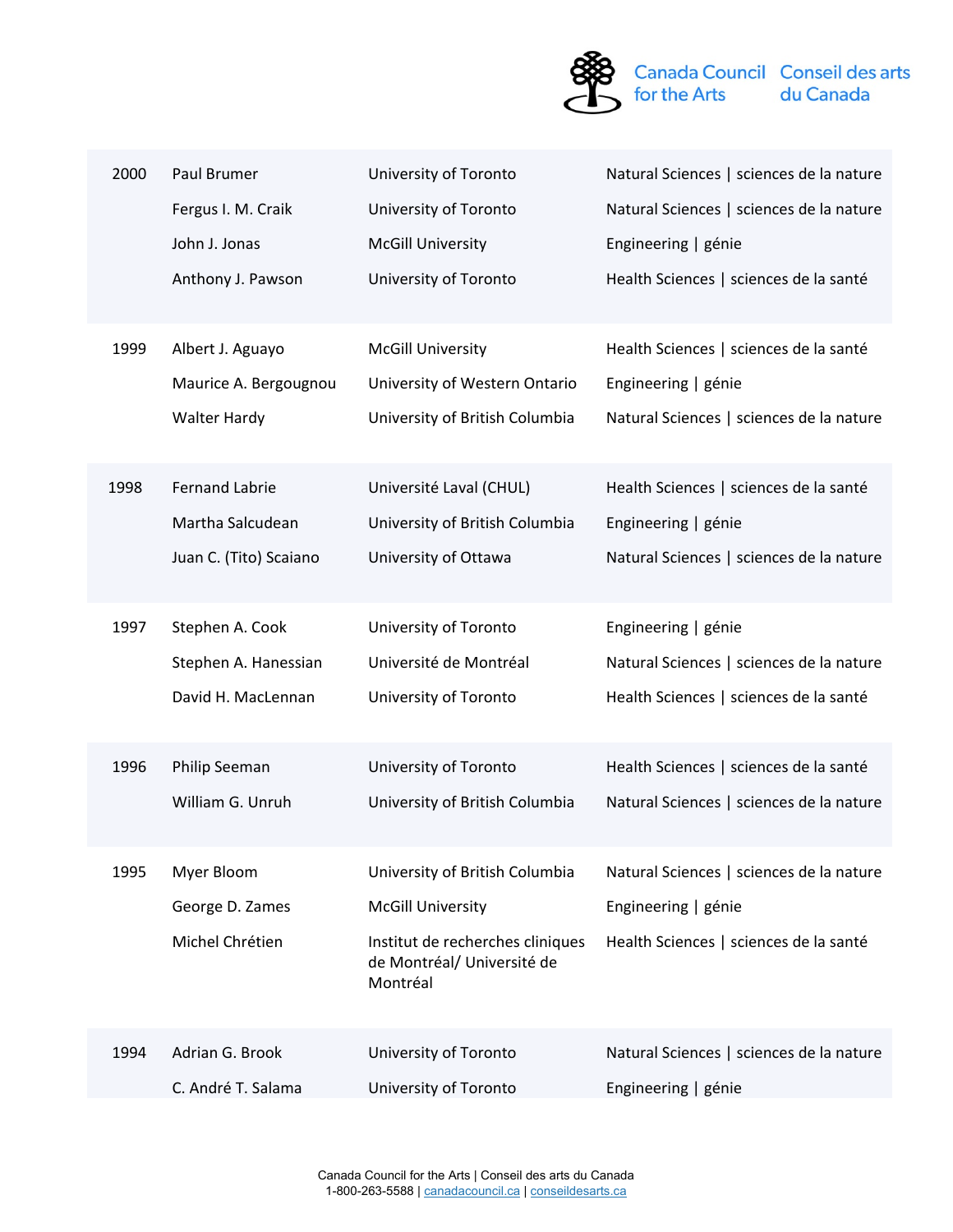

| 2000 | Paul Brumer            | University of Toronto                                                      | Natural Sciences   sciences de la nature |
|------|------------------------|----------------------------------------------------------------------------|------------------------------------------|
|      | Fergus I. M. Craik     | University of Toronto                                                      | Natural Sciences   sciences de la nature |
|      | John J. Jonas          | <b>McGill University</b>                                                   | Engineering   génie                      |
|      | Anthony J. Pawson      | University of Toronto                                                      | Health Sciences   sciences de la santé   |
| 1999 | Albert J. Aguayo       | <b>McGill University</b>                                                   | Health Sciences   sciences de la santé   |
|      | Maurice A. Bergougnou  | University of Western Ontario                                              | Engineering   génie                      |
|      | <b>Walter Hardy</b>    | University of British Columbia                                             | Natural Sciences   sciences de la nature |
| 1998 | <b>Fernand Labrie</b>  | Université Laval (CHUL)                                                    | Health Sciences   sciences de la santé   |
|      | Martha Salcudean       | University of British Columbia                                             | Engineering   génie                      |
|      | Juan C. (Tito) Scaiano | University of Ottawa                                                       | Natural Sciences   sciences de la nature |
|      |                        |                                                                            |                                          |
| 1997 | Stephen A. Cook        | University of Toronto                                                      | Engineering   génie                      |
|      | Stephen A. Hanessian   | Université de Montréal                                                     | Natural Sciences   sciences de la nature |
|      | David H. MacLennan     | University of Toronto                                                      | Health Sciences   sciences de la santé   |
|      |                        |                                                                            |                                          |
| 1996 | Philip Seeman          | University of Toronto                                                      | Health Sciences   sciences de la santé   |
|      | William G. Unruh       | University of British Columbia                                             | Natural Sciences   sciences de la nature |
| 1995 | Myer Bloom             | University of British Columbia                                             | Natural Sciences   sciences de la nature |
|      | George D. Zames        | <b>McGill University</b>                                                   | Engineering   génie                      |
|      | Michel Chrétien        | Institut de recherches cliniques<br>de Montréal/ Université de<br>Montréal | Health Sciences   sciences de la santé   |
| 1994 | Adrian G. Brook        | University of Toronto                                                      | Natural Sciences   sciences de la nature |
|      | C. André T. Salama     | University of Toronto                                                      | Engineering   génie                      |
|      |                        |                                                                            |                                          |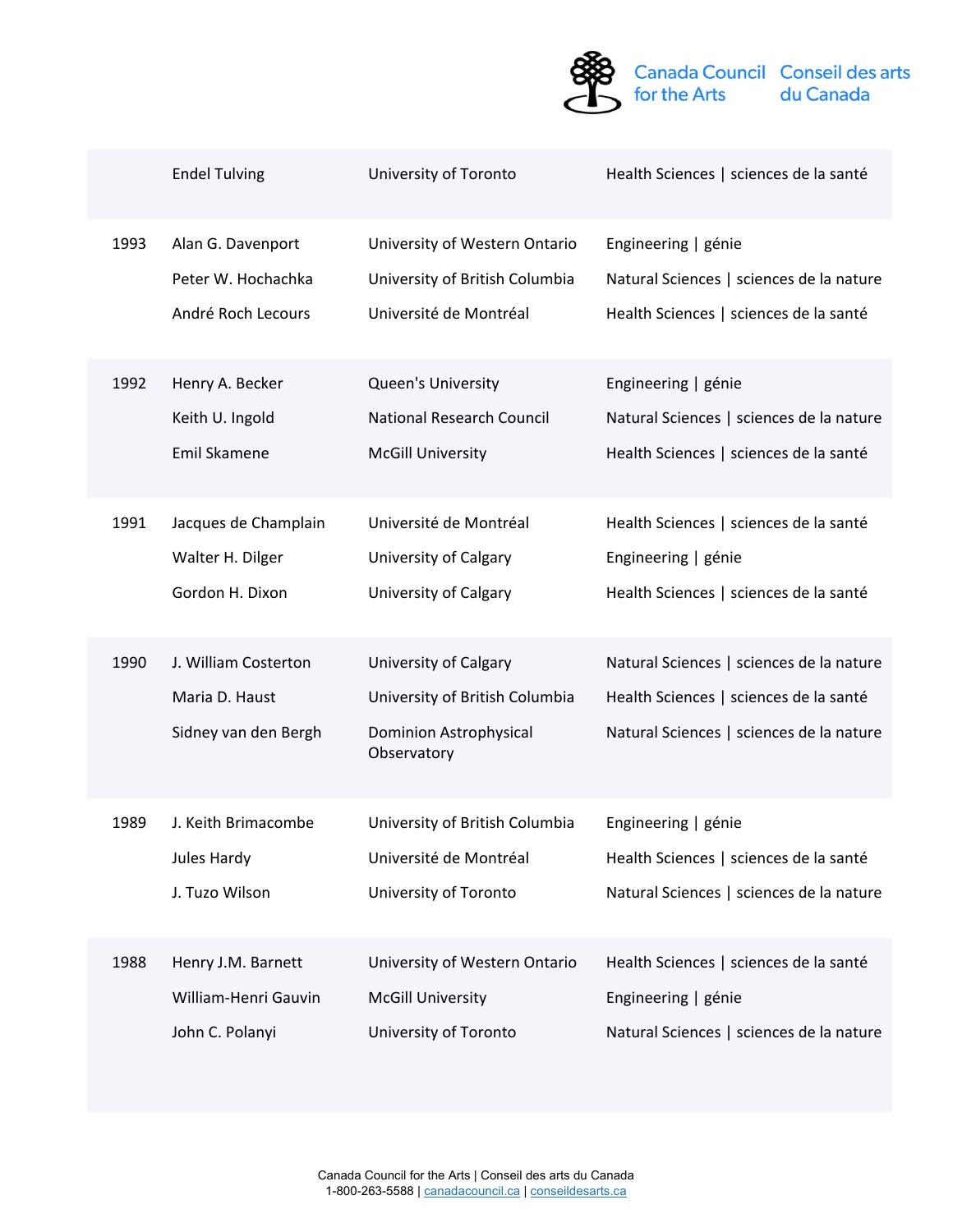

|      | <b>Endel Tulving</b>                                           | University of Toronto                                                                                   | Health Sciences   sciences de la santé                                                                                         |
|------|----------------------------------------------------------------|---------------------------------------------------------------------------------------------------------|--------------------------------------------------------------------------------------------------------------------------------|
| 1993 | Alan G. Davenport                                              | University of Western Ontario                                                                           | Engineering   génie                                                                                                            |
|      | Peter W. Hochachka                                             | University of British Columbia                                                                          | Natural Sciences   sciences de la nature                                                                                       |
|      | André Roch Lecours                                             | Université de Montréal                                                                                  | Health Sciences   sciences de la santé                                                                                         |
| 1992 | Henry A. Becker                                                | Queen's University                                                                                      | Engineering   génie                                                                                                            |
|      | Keith U. Ingold                                                | National Research Council                                                                               | Natural Sciences   sciences de la nature                                                                                       |
|      | Emil Skamene                                                   | <b>McGill University</b>                                                                                | Health Sciences   sciences de la santé                                                                                         |
| 1991 | Jacques de Champlain                                           | Université de Montréal                                                                                  | Health Sciences   sciences de la santé                                                                                         |
|      | Walter H. Dilger                                               | University of Calgary                                                                                   | Engineering   génie                                                                                                            |
|      | Gordon H. Dixon                                                | University of Calgary                                                                                   | Health Sciences   sciences de la santé                                                                                         |
| 1990 | J. William Costerton<br>Maria D. Haust<br>Sidney van den Bergh | University of Calgary<br>University of British Columbia<br><b>Dominion Astrophysical</b><br>Observatory | Natural Sciences   sciences de la nature<br>Health Sciences   sciences de la santé<br>Natural Sciences   sciences de la nature |
| 1989 | J. Keith Brimacombe                                            | University of British Columbia                                                                          | Engineering   génie                                                                                                            |
|      | Jules Hardy                                                    | Université de Montréal                                                                                  | Health Sciences   sciences de la santé                                                                                         |
|      | J. Tuzo Wilson                                                 | University of Toronto                                                                                   | Natural Sciences   sciences de la nature                                                                                       |
| 1988 | Henry J.M. Barnett                                             | University of Western Ontario                                                                           | Health Sciences   sciences de la santé                                                                                         |
|      | William-Henri Gauvin                                           | <b>McGill University</b>                                                                                | Engineering   génie                                                                                                            |
|      | John C. Polanyi                                                | University of Toronto                                                                                   | Natural Sciences   sciences de la nature                                                                                       |